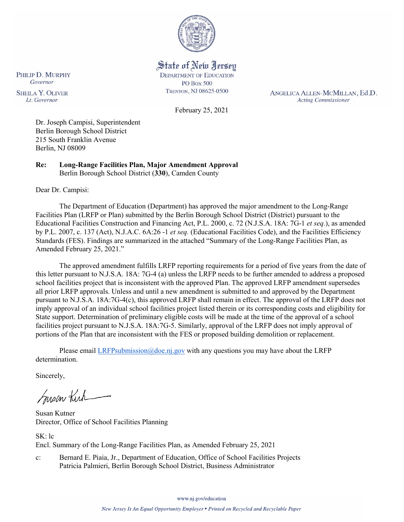

State of New Jersey **DEPARTMENT OF EDUCATION PO Box 500** 

TRENTON, NJ 08625-0500

ANGELICA ALLEN-MCMILLAN, Ed.D. **Acting Commissioner** 

February 25, 2021

Dr. Joseph Campisi, Superintendent Berlin Borough School District 215 South Franklin Avenue Berlin, NJ 08009

**Re: Long-Range Facilities Plan, Major Amendment Approval**  Berlin Borough School District (**330**), Camden County

Dear Dr. Campisi:

PHILIP D. MURPHY Governor

**SHEILA Y. OLIVER** 

Lt. Governor

The Department of Education (Department) has approved the major amendment to the Long-Range Facilities Plan (LRFP or Plan) submitted by the Berlin Borough School District (District) pursuant to the Educational Facilities Construction and Financing Act, P.L. 2000, c. 72 (N.J.S.A. 18A: 7G-1 *et seq.*), as amended by P.L. 2007, c. 137 (Act), N.J.A.C. 6A:26 -1 *et seq.* (Educational Facilities Code), and the Facilities Efficiency Standards (FES). Findings are summarized in the attached "Summary of the Long-Range Facilities Plan, as Amended February 25, 2021."

The approved amendment fulfills LRFP reporting requirements for a period of five years from the date of this letter pursuant to N.J.S.A. 18A: 7G-4 (a) unless the LRFP needs to be further amended to address a proposed school facilities project that is inconsistent with the approved Plan. The approved LRFP amendment supersedes all prior LRFP approvals. Unless and until a new amendment is submitted to and approved by the Department pursuant to N.J.S.A. 18A:7G-4(c), this approved LRFP shall remain in effect. The approval of the LRFP does not imply approval of an individual school facilities project listed therein or its corresponding costs and eligibility for State support. Determination of preliminary eligible costs will be made at the time of the approval of a school facilities project pursuant to N.J.S.A. 18A:7G-5. Similarly, approval of the LRFP does not imply approval of portions of the Plan that are inconsistent with the FES or proposed building demolition or replacement.

Please email [LRFPsubmission@doe.nj.gov](mailto:LRFPsubmission@doe.nj.gov) with any questions you may have about the LRFP determination.

Sincerely,

Susan Kich

Susan Kutner Director, Office of School Facilities Planning

SK: lc Encl. Summary of the Long-Range Facilities Plan, as Amended February 25, 2021

c: Bernard E. Piaia, Jr., Department of Education, Office of School Facilities Projects Patricia Palmieri, Berlin Borough School District, Business Administrator

www.nj.gov/education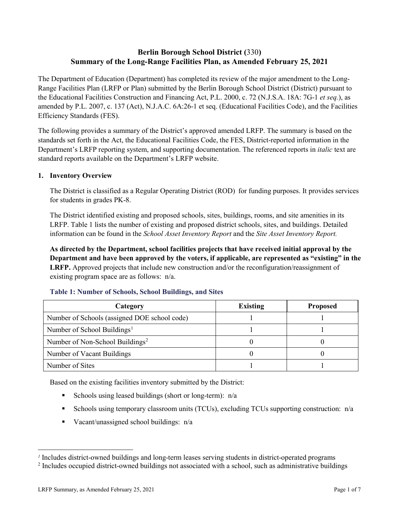# **Berlin Borough School District (**330**) Summary of the Long-Range Facilities Plan, as Amended February 25, 2021**

The Department of Education (Department) has completed its review of the major amendment to the Long-Range Facilities Plan (LRFP or Plan) submitted by the Berlin Borough School District (District) pursuant to the Educational Facilities Construction and Financing Act, P.L. 2000, c. 72 (N.J.S.A. 18A: 7G-1 *et seq.*), as amended by P.L. 2007, c. 137 (Act), N.J.A.C. 6A:26-1 et seq. (Educational Facilities Code), and the Facilities Efficiency Standards (FES).

The following provides a summary of the District's approved amended LRFP. The summary is based on the standards set forth in the Act, the Educational Facilities Code, the FES, District-reported information in the Department's LRFP reporting system, and supporting documentation. The referenced reports in *italic* text are standard reports available on the Department's LRFP website.

### **1. Inventory Overview**

The District is classified as a Regular Operating District (ROD) for funding purposes. It provides services for students in grades PK-8.

The District identified existing and proposed schools, sites, buildings, rooms, and site amenities in its LRFP. Table 1 lists the number of existing and proposed district schools, sites, and buildings. Detailed information can be found in the *School Asset Inventory Report* and the *Site Asset Inventory Report.*

**As directed by the Department, school facilities projects that have received initial approval by the Department and have been approved by the voters, if applicable, are represented as "existing" in the LRFP.** Approved projects that include new construction and/or the reconfiguration/reassignment of existing program space are as follows: n/a.

| Category                                     | <b>Existing</b> | <b>Proposed</b> |
|----------------------------------------------|-----------------|-----------------|
| Number of Schools (assigned DOE school code) |                 |                 |
| Number of School Buildings <sup>1</sup>      |                 |                 |
| Number of Non-School Buildings <sup>2</sup>  |                 |                 |
| Number of Vacant Buildings                   |                 |                 |
| Number of Sites                              |                 |                 |

#### **Table 1: Number of Schools, School Buildings, and Sites**

Based on the existing facilities inventory submitted by the District:

- Schools using leased buildings (short or long-term):  $n/a$
- Schools using temporary classroom units (TCUs), excluding TCUs supporting construction:  $n/a$
- Vacant/unassigned school buildings:  $n/a$

 $\overline{a}$ 

<span id="page-1-1"></span><span id="page-1-0"></span>*<sup>1</sup>* Includes district-owned buildings and long-term leases serving students in district-operated programs

<sup>&</sup>lt;sup>2</sup> Includes occupied district-owned buildings not associated with a school, such as administrative buildings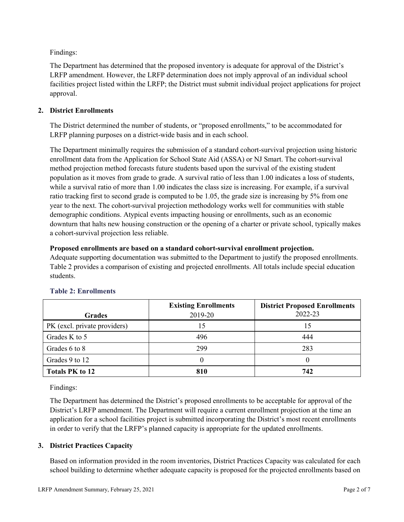Findings:

The Department has determined that the proposed inventory is adequate for approval of the District's LRFP amendment. However, the LRFP determination does not imply approval of an individual school facilities project listed within the LRFP; the District must submit individual project applications for project approval.

### **2. District Enrollments**

The District determined the number of students, or "proposed enrollments," to be accommodated for LRFP planning purposes on a district-wide basis and in each school.

The Department minimally requires the submission of a standard cohort-survival projection using historic enrollment data from the Application for School State Aid (ASSA) or NJ Smart. The cohort-survival method projection method forecasts future students based upon the survival of the existing student population as it moves from grade to grade. A survival ratio of less than 1.00 indicates a loss of students, while a survival ratio of more than 1.00 indicates the class size is increasing. For example, if a survival ratio tracking first to second grade is computed to be 1.05, the grade size is increasing by 5% from one year to the next. The cohort-survival projection methodology works well for communities with stable demographic conditions. Atypical events impacting housing or enrollments, such as an economic downturn that halts new housing construction or the opening of a charter or private school, typically makes a cohort-survival projection less reliable.

### **Proposed enrollments are based on a standard cohort-survival enrollment projection.**

Adequate supporting documentation was submitted to the Department to justify the proposed enrollments. Table 2 provides a comparison of existing and projected enrollments. All totals include special education students.

|                              | <b>Existing Enrollments</b> | <b>District Proposed Enrollments</b> |
|------------------------------|-----------------------------|--------------------------------------|
| <b>Grades</b>                | 2019-20                     | 2022-23                              |
| PK (excl. private providers) |                             | 15                                   |
| Grades K to 5                | 496                         | 444                                  |
| Grades 6 to 8                | 299                         | 283                                  |
| Grades 9 to 12               |                             |                                      |
| <b>Totals PK to 12</b>       | 810                         | 742                                  |

# **Table 2: Enrollments**

Findings:

The Department has determined the District's proposed enrollments to be acceptable for approval of the District's LRFP amendment. The Department will require a current enrollment projection at the time an application for a school facilities project is submitted incorporating the District's most recent enrollments in order to verify that the LRFP's planned capacity is appropriate for the updated enrollments.

# **3. District Practices Capacity**

Based on information provided in the room inventories, District Practices Capacity was calculated for each school building to determine whether adequate capacity is proposed for the projected enrollments based on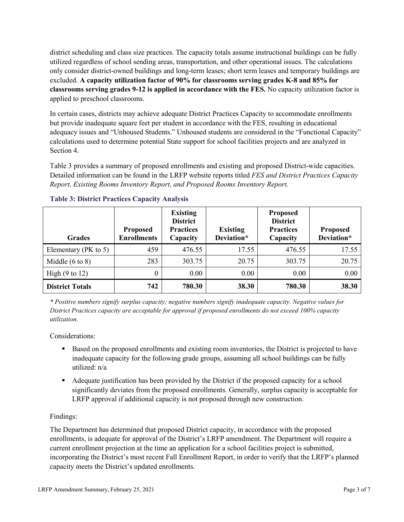district scheduling and class size practices. The capacity totals assume instructional buildings can be fully utilized regardless of school sending areas, transportation, and other operational issues. The calculations only consider district-owned buildings and long-term leases; short term leases and temporary buildings are excluded. **A capacity utilization factor of 90% for classrooms serving grades K-8 and 85% for classrooms serving grades 9-12 is applied in accordance with the FES.** No capacity utilization factor is applied to preschool classrooms.

In certain cases, districts may achieve adequate District Practices Capacity to accommodate enrollments but provide inadequate square feet per student in accordance with the FES, resulting in educational adequacy issues and "Unhoused Students." Unhoused students are considered in the "Functional Capacity" calculations used to determine potential State support for school facilities projects and are analyzed in Section 4.

Table 3 provides a summary of proposed enrollments and existing and proposed District-wide capacities. Detailed information can be found in the LRFP website reports titled *FES and District Practices Capacity Report, Existing Rooms Inventory Report, and Proposed Rooms Inventory Report.*

| <b>Grades</b>              | <b>Proposed</b><br><b>Enrollments</b> | <b>Existing</b><br><b>District</b><br><b>Practices</b><br>Capacity | <b>Existing</b><br>Deviation* | <b>Proposed</b><br><b>District</b><br><b>Practices</b><br>Capacity | <b>Proposed</b><br>Deviation* |
|----------------------------|---------------------------------------|--------------------------------------------------------------------|-------------------------------|--------------------------------------------------------------------|-------------------------------|
| Elementary ( $PK$ to 5)    | 459                                   | 476.55                                                             | 17.55                         | 476.55                                                             | 17.55                         |
| Middle $(6 \text{ to } 8)$ | 283                                   | 303.75                                                             | 20.75                         | 303.75                                                             | 20.75                         |
| High $(9 \text{ to } 12)$  | 0                                     | 0.00                                                               | 0.00                          | 0.00                                                               | 0.00                          |
| <b>District Totals</b>     | 742                                   | 780.30                                                             | 38.30                         | 780.30                                                             | 38.30                         |

|  |  | <b>Table 3: District Practices Capacity Analysis</b> |  |  |
|--|--|------------------------------------------------------|--|--|
|--|--|------------------------------------------------------|--|--|

*\* Positive numbers signify surplus capacity; negative numbers signify inadequate capacity. Negative values for District Practices capacity are acceptable for approval if proposed enrollments do not exceed 100% capacity utilization.*

Considerations:

- Based on the proposed enrollments and existing room inventories, the District is projected to have inadequate capacity for the following grade groups, assuming all school buildings can be fully utilized: n/a
- Adequate justification has been provided by the District if the proposed capacity for a school significantly deviates from the proposed enrollments. Generally, surplus capacity is acceptable for LRFP approval if additional capacity is not proposed through new construction.

# Findings:

The Department has determined that proposed District capacity, in accordance with the proposed enrollments, is adequate for approval of the District's LRFP amendment. The Department will require a current enrollment projection at the time an application for a school facilities project is submitted, incorporating the District's most recent Fall Enrollment Report, in order to verify that the LRFP's planned capacity meets the District's updated enrollments.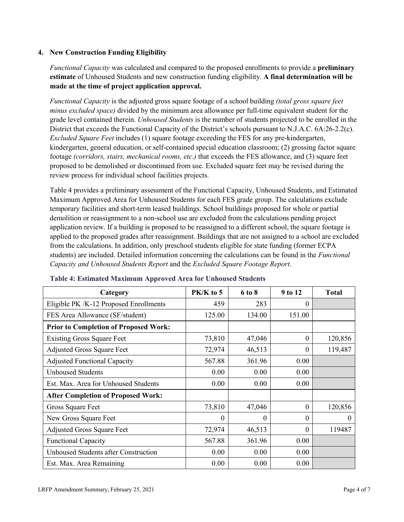### **4. New Construction Funding Eligibility**

*Functional Capacity* was calculated and compared to the proposed enrollments to provide a **preliminary estimate** of Unhoused Students and new construction funding eligibility. **A final determination will be made at the time of project application approval.**

*Functional Capacity* is the adjusted gross square footage of a school building *(total gross square feet minus excluded space)* divided by the minimum area allowance per full-time equivalent student for the grade level contained therein. *Unhoused Students* is the number of students projected to be enrolled in the District that exceeds the Functional Capacity of the District's schools pursuant to N.J.A.C. 6A:26-2.2(c). *Excluded Square Feet* includes (1) square footage exceeding the FES for any pre-kindergarten, kindergarten, general education, or self-contained special education classroom; (2) grossing factor square footage *(corridors, stairs, mechanical rooms, etc.)* that exceeds the FES allowance, and (3) square feet proposed to be demolished or discontinued from use. Excluded square feet may be revised during the review process for individual school facilities projects.

Table 4 provides a preliminary assessment of the Functional Capacity, Unhoused Students, and Estimated Maximum Approved Area for Unhoused Students for each FES grade group. The calculations exclude temporary facilities and short-term leased buildings. School buildings proposed for whole or partial demolition or reassignment to a non-school use are excluded from the calculations pending project application review. If a building is proposed to be reassigned to a different school, the square footage is applied to the proposed grades after reassignment. Buildings that are not assigned to a school are excluded from the calculations. In addition, only preschool students eligible for state funding (former ECPA students) are included. Detailed information concerning the calculations can be found in the *Functional Capacity and Unhoused Students Report* and the *Excluded Square Footage Report.*

| Category                                     | PK/K to 5 | 6 to 8   | 9 to 12  | <b>Total</b> |
|----------------------------------------------|-----------|----------|----------|--------------|
| Eligible PK /K-12 Proposed Enrollments       | 459       | 283      | 0        |              |
| FES Area Allowance (SF/student)              | 125.00    | 134.00   | 151.00   |              |
| <b>Prior to Completion of Proposed Work:</b> |           |          |          |              |
| <b>Existing Gross Square Feet</b>            | 73,810    | 47,046   | 0        | 120,856      |
| <b>Adjusted Gross Square Feet</b>            | 72,974    | 46,513   | $\theta$ | 119,487      |
| <b>Adjusted Functional Capacity</b>          | 567.88    | 361.96   | 0.00     |              |
| <b>Unhoused Students</b>                     | 0.00      | 0.00     | 0.00     |              |
| Est. Max. Area for Unhoused Students         | 0.00      | 0.00     | 0.00     |              |
| <b>After Completion of Proposed Work:</b>    |           |          |          |              |
| Gross Square Feet                            | 73,810    | 47,046   | $\theta$ | 120,856      |
| New Gross Square Feet                        | $\theta$  | $\Omega$ | $\theta$ | $\theta$     |
| <b>Adjusted Gross Square Feet</b>            | 72,974    | 46,513   | $\Omega$ | 119487       |
| <b>Functional Capacity</b>                   | 567.88    | 361.96   | 0.00     |              |
| Unhoused Students after Construction         | 0.00      | 0.00     | 0.00     |              |
| Est. Max. Area Remaining                     | 0.00      | 0.00     | 0.00     |              |

### **Table 4: Estimated Maximum Approved Area for Unhoused Students**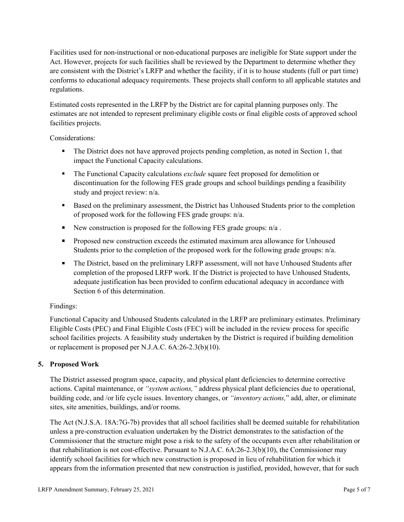Facilities used for non-instructional or non-educational purposes are ineligible for State support under the Act. However, projects for such facilities shall be reviewed by the Department to determine whether they are consistent with the District's LRFP and whether the facility, if it is to house students (full or part time) conforms to educational adequacy requirements. These projects shall conform to all applicable statutes and regulations.

Estimated costs represented in the LRFP by the District are for capital planning purposes only. The estimates are not intended to represent preliminary eligible costs or final eligible costs of approved school facilities projects.

Considerations:

- The District does not have approved projects pending completion, as noted in Section 1, that impact the Functional Capacity calculations.
- **The Functional Capacity calculations** *exclude* square feet proposed for demolition or discontinuation for the following FES grade groups and school buildings pending a feasibility study and project review: n/a.
- Based on the preliminary assessment, the District has Unhoused Students prior to the completion of proposed work for the following FES grade groups: n/a.
- New construction is proposed for the following FES grade groups:  $n/a$ .
- Proposed new construction exceeds the estimated maximum area allowance for Unhoused Students prior to the completion of the proposed work for the following grade groups: n/a.
- The District, based on the preliminary LRFP assessment, will not have Unhoused Students after completion of the proposed LRFP work. If the District is projected to have Unhoused Students, adequate justification has been provided to confirm educational adequacy in accordance with Section 6 of this determination.

### Findings:

Functional Capacity and Unhoused Students calculated in the LRFP are preliminary estimates. Preliminary Eligible Costs (PEC) and Final Eligible Costs (FEC) will be included in the review process for specific school facilities projects. A feasibility study undertaken by the District is required if building demolition or replacement is proposed per N.J.A.C. 6A:26-2.3(b)(10).

# **5. Proposed Work**

The District assessed program space, capacity, and physical plant deficiencies to determine corrective actions. Capital maintenance, or *"system actions,"* address physical plant deficiencies due to operational, building code, and /or life cycle issues. Inventory changes, or *"inventory actions,*" add, alter, or eliminate sites, site amenities, buildings, and/or rooms.

The Act (N.J.S.A. 18A:7G-7b) provides that all school facilities shall be deemed suitable for rehabilitation unless a pre-construction evaluation undertaken by the District demonstrates to the satisfaction of the Commissioner that the structure might pose a risk to the safety of the occupants even after rehabilitation or that rehabilitation is not cost-effective. Pursuant to N.J.A.C. 6A:26-2.3(b)(10), the Commissioner may identify school facilities for which new construction is proposed in lieu of rehabilitation for which it appears from the information presented that new construction is justified, provided, however, that for such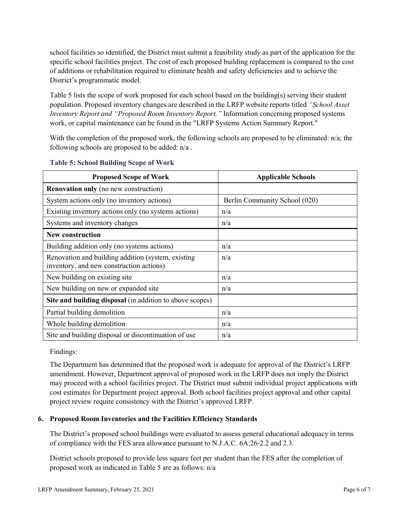school facilities so identified, the District must submit a feasibility study as part of the application for the specific school facilities project. The cost of each proposed building replacement is compared to the cost of additions or rehabilitation required to eliminate health and safety deficiencies and to achieve the District's programmatic model.

Table 5 lists the scope of work proposed for each school based on the building(s) serving their student population. Proposed inventory changes are described in the LRFP website reports titled *"School Asset Inventory Report and "Proposed Room Inventory Report."* Information concerning proposed systems work, or capital maintenance can be found in the "LRFP Systems Action Summary Report."

With the completion of the proposed work, the following schools are proposed to be eliminated: n/a; the following schools are proposed to be added: n/a .

| <b>Proposed Scope of Work</b>                                                                  | <b>Applicable Schools</b>     |
|------------------------------------------------------------------------------------------------|-------------------------------|
| <b>Renovation only</b> (no new construction)                                                   |                               |
| System actions only (no inventory actions)                                                     | Berlin Community School (020) |
| Existing inventory actions only (no systems actions)                                           | n/a                           |
| Systems and inventory changes                                                                  | n/a                           |
| New construction                                                                               |                               |
| Building addition only (no systems actions)                                                    | n/a                           |
| Renovation and building addition (system, existing<br>inventory, and new construction actions) | n/a                           |
| New building on existing site                                                                  | n/a                           |
| New building on new or expanded site                                                           | n/a                           |
| Site and building disposal (in addition to above scopes)                                       |                               |
| Partial building demolition                                                                    | n/a                           |
| Whole building demolition                                                                      | n/a                           |
| Site and building disposal or discontinuation of use                                           | n/a                           |

#### **Table 5: School Building Scope of Work**

Findings:

The Department has determined that the proposed work is adequate for approval of the District's LRFP amendment. However, Department approval of proposed work in the LRFP does not imply the District may proceed with a school facilities project. The District must submit individual project applications with cost estimates for Department project approval. Both school facilities project approval and other capital project review require consistency with the District's approved LRFP.

### **6. Proposed Room Inventories and the Facilities Efficiency Standards**

The District's proposed school buildings were evaluated to assess general educational adequacy in terms of compliance with the FES area allowance pursuant to N.J.A.C. 6A:26-2.2 and 2.3.

District schools proposed to provide less square feet per student than the FES after the completion of proposed work as indicated in Table 5 are as follows: n/a